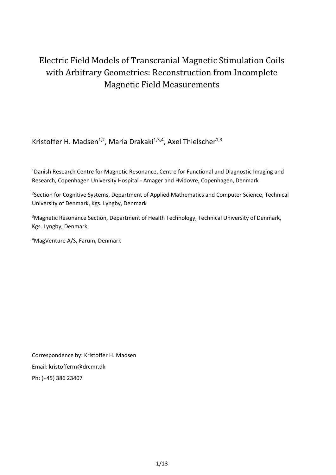# Electric Field Models of Transcranial Magnetic Stimulation Coils with Arbitrary Geometries: Reconstruction from Incomplete Magnetic Field Measurements

Kristoffer H. Madsen<sup>1,2</sup>, Maria Drakaki<sup>1,3,4</sup>, Axel Thielscher<sup>1,3</sup>

<sup>1</sup>Danish Research Centre for Magnetic Resonance, Centre for Functional and Diagnostic Imaging and Research, Copenhagen University Hospital - Amager and Hvidovre, Copenhagen, Denmark

<sup>2</sup>Section for Cognitive Systems, Department of Applied Mathematics and Computer Science, Technical University of Denmark, Kgs. Lyngby, Denmark

<sup>3</sup>Magnetic Resonance Section, Department of Health Technology, Technical University of Denmark, Kgs. Lyngby, Denmark

<sup>4</sup>MagVenture A/S, Farum, Denmark

Correspondence by: Kristoffer H. Madsen Email: kristofferm@drcmr.dk Ph: (+45) 386 23407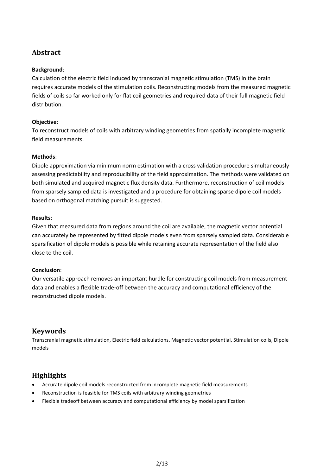# **Abstract**

#### **Background**:

Calculation of the electric field induced by transcranial magnetic stimulation (TMS) in the brain requires accurate models of the stimulation coils. Reconstructing models from the measured magnetic fields of coils so far worked only for flat coil geometries and required data of their full magnetic field distribution.

#### **Objective**:

To reconstruct models of coils with arbitrary winding geometries from spatially incomplete magnetic field measurements.

#### **Methods**:

Dipole approximation via minimum norm estimation with a cross validation procedure simultaneously assessing predictability and reproducibility of the field approximation. The methods were validated on both simulated and acquired magnetic flux density data. Furthermore, reconstruction of coil models from sparsely sampled data is investigated and a procedure for obtaining sparse dipole coil models based on orthogonal matching pursuit is suggested.

#### **Results**:

Given that measured data from regions around the coil are available, the magnetic vector potential can accurately be represented by fitted dipole models even from sparsely sampled data. Considerable sparsification of dipole models is possible while retaining accurate representation of the field also close to the coil.

#### **Conclusion**:

Our versatile approach removes an important hurdle for constructing coil models from measurement data and enables a flexible trade-off between the accuracy and computational efficiency of the reconstructed dipole models.

## **Keywords**

Transcranial magnetic stimulation, Electric field calculations, Magnetic vector potential, Stimulation coils, Dipole models

## **Highlights**

- Accurate dipole coil models reconstructed from incomplete magnetic field measurements
- Reconstruction is feasible for TMS coils with arbitrary winding geometries
- Flexible tradeoff between accuracy and computational efficiency by model sparsification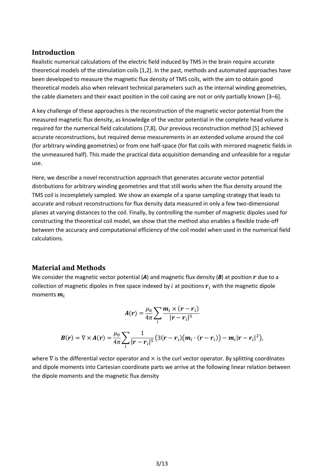#### **Introduction**

Realistic numerical calculations of the electric field induced by TMS in the brain require accurate theoretical models of the stimulation coils [1,2]. In the past, methods and automated approaches have been developed to measure the magnetic flux density of TMS coils, with the aim to obtain good theoretical models also when relevant technical parameters such as the internal winding geometries, the cable diameters and their exact position in the coil casing are not or only partially known [3–6].

A key challenge of these approaches is the reconstruction of the magnetic vector potential from the measured magnetic flux density, as knowledge of the vector potential in the complete head volume is required for the numerical field calculations [7,8]. Our previous reconstruction method [5] achieved accurate reconstructions, but required dense measurements in an extended volume around the coil (for arbitrary winding geometries) or from one half-space (for flat coils with mirrored magnetic fields in the unmeasured half). This made the practical data acquisition demanding and unfeasible for a regular use.

Here, we describe a novel reconstruction approach that generates accurate vector potential distributions for arbitrary winding geometries and that still works when the flux density around the TMS coil is incompletely sampled. We show an example of a sparse sampling strategy that leads to accurate and robust reconstructions for flux density data measured in only a few two-dimensional planes at varying distances to the coil. Finally, by controlling the number of magnetic dipoles used for constructing the theoretical coil model, we show that the method also enables a flexible trade-off between the accuracy and computational efficiency of the coil model when used in the numerical field calculations.

## **Material and Methods**

We consider the magnetic vector potential  $(A)$  and magnetic flux density  $(B)$  at position  $r$  due to a collection of magnetic dipoles in free space indexed by  $i$  at positions  $r_i$  with the magnetic dipole moments  $m_i$ 

$$
A(r) = \frac{\mu_0}{4\pi} \sum_i \frac{m_i \times (r - r_i)}{|r - r_i|^3}
$$

$$
B(r) = \nabla \times A(r) = \frac{\mu_0}{4\pi} \sum_i \frac{1}{|r - r_i|^5} \big( 3(r - r_i) \big( m_i \cdot (r - r_i) \big) - m_i |r - r_i|^2 \big),
$$

where  $\nabla$  is the differential vector operator and  $\times$  is the curl vector operator. By splitting coordinates and dipole moments into Cartesian coordinate parts we arrive at the following linear relation between the dipole moments and the magnetic flux density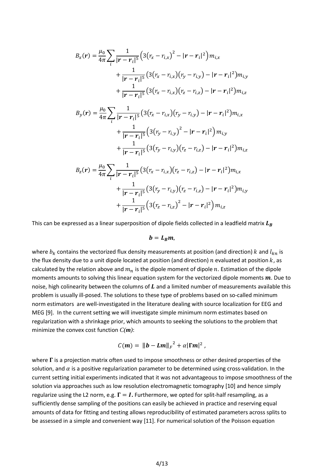$$
B_x(\mathbf{r}) = \frac{\mu_0}{4\pi} \sum_{i} \frac{1}{|\mathbf{r} - \mathbf{r}_i|^5} \Big( 3(r_x - r_{i,x})^2 - |\mathbf{r} - \mathbf{r}_i|^2 \Big) m_{i,x} + \frac{1}{|\mathbf{r} - \mathbf{r}_i|^5} \Big( 3(r_x - r_{i,x})(r_y - r_{i,y}) - |\mathbf{r} - \mathbf{r}_i|^2 \Big) m_{i,y} + \frac{1}{|\mathbf{r} - \mathbf{r}_i|^5} \Big( 3(r_x - r_{i,x})(r_z - r_{i,z}) - |\mathbf{r} - \mathbf{r}_i|^2 \Big) m_{i,z} B_y(\mathbf{r}) = \frac{\mu_0}{4\pi} \sum_{i} \frac{1}{|\mathbf{r} - \mathbf{r}_i|^5} \Big( 3(r_x - r_{i,x})(r_y - r_{i,y}) - |\mathbf{r} - \mathbf{r}_i|^2 \Big) m_{i,x} + \frac{1}{|\mathbf{r} - \mathbf{r}_i|^5} \Big( 3(r_y - r_{i,y})^2 - |\mathbf{r} - \mathbf{r}_i|^2 \Big) m_{i,y} + \frac{1}{|\mathbf{r} - \mathbf{r}_i|^5} \Big( 3(r_y - r_{i,y})(r_z - r_{i,z}) - |\mathbf{r} - \mathbf{r}_i|^2 \Big) m_{i,z} B_z(\mathbf{r}) = \frac{\mu_0}{4\pi} \sum_{i} \frac{1}{|\mathbf{r} - \mathbf{r}_i|^5} \Big( 3(r_x - r_{i,x})(r_z - r_{i,z}) - |\mathbf{r} - \mathbf{r}_i|^2 \Big) m_{i,x} + \frac{1}{|\mathbf{r} - \mathbf{r}_i|^5} \Big( 3(r_y - r_{i,y})(r_z - r_{i,z}) - |\mathbf{r} - \mathbf{r}_i|^2 \Big) m_{i,y} + \frac{1}{|\mathbf{r} - \mathbf{r}_i|^5} \Big( 3(r_z - r_{i,z})^2 - |\mathbf{r} - \mathbf{r}_i|^2 \Big) m_{i,z}
$$

This can be expressed as a linear superposition of dipole fields collected in a leadfield matrix  $L_B$ 

$$
b=L_B m,
$$

where  $b_k$  contains the vectorized flux density measurements at position (and direction) k and  $l_{kn}$  is the flux density due to a unit dipole located at position (and direction)  $n$  evaluated at position  $k$ , as calculated by the relation above and  $m_n$  is the dipole moment of dipole  $n$ . Estimation of the dipole moments amounts to solving this linear equation system for the vectorized dipole moments  $m$ . Due to noise, high colinearity between the columns of  $L$  and a limited number of measurements available this problem is usually ill-posed. The solutions to these type of problems based on so-called minimum norm estimators are well-investigated in the literature dealing with source localization for EEG and MEG [9]. In the current setting we will investigate simple minimum norm estimates based on regularization with a shrinkage prior, which amounts to seeking the solutions to the problem that minimize the convex cost function *C(m)*:

$$
\mathcal{C}(m) = \left\| \boldsymbol{b} - \boldsymbol{L}\boldsymbol{m} \right\|_F^2 + \alpha |\boldsymbol{\Gamma}\boldsymbol{m}|^2,
$$

where  $\Gamma$  is a projection matrix often used to impose smoothness or other desired properties of the solution, and  $\alpha$  is a positive regularization parameter to be determined using cross-validation. In the current setting initial experiments indicated that it was not advantageous to impose smoothness of the solution via approaches such as low resolution electromagnetic tomography [10] and hence simply regularize using the L2 norm, e.g.  $\Gamma = I$ . Furthermore, we opted for split-half resampling, as a sufficiently dense sampling of the positions can easily be achieved in practice and reserving equal amounts of data for fitting and testing allows reproducibility of estimated parameters across splits to be assessed in a simple and convenient way [11]. For numerical solution of the Poisson equation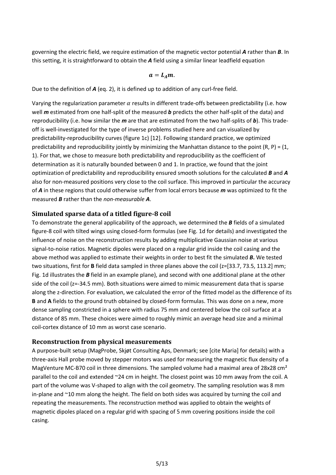governing the electric field, we require estimation of the magnetic vector potential *A* rather than *B*. In this setting, it is straightforward to obtain the *A* field using a similar linear leadfield equation

$$
a=L_A m.
$$

Due to the definition of *A* (eq. 2), it is defined up to addition of any curl-free field.

Varying the regularization parameter  $\alpha$  results in different trade-offs between predictability (i.e. how well *m* estimated from one half-split of the measured *b* predicts the other half-split of the data) and reproducibility (i.e. how similar the *m* are that are estimated from the two half-splits of *b*). This tradeoff is well-investigated for the type of inverse problems studied here and can visualized by predictability-reproducibility curves (figure 1c) [12]. Following standard practice, we optimized predictability and reproducibility jointly by minimizing the Manhattan distance to the point  $(R, P) = (1,$ 1). For that, we chose to measure both predictability and reproducibility as the coefficient of determination as it is naturally bounded between 0 and 1. In practice, we found that the joint optimization of predictability and reproducibility ensured smooth solutions for the calculated *B* and *A* also for non-measured positions very close to the coil surface. This improved in particular the accuracy of *A* in these regions that could otherwise suffer from local errors because *m* was optimized to fit the measured *B* rather than the *non*-*measurable A*.

#### **Simulated sparse data of a titled figure-8 coil**

To demonstrate the general applicability of the approach, we determined the *B* fields of a simulated figure-8 coil with tilted wings using closed-form formulas (see Fig. 1d for details) and investigated the influence of noise on the reconstruction results by adding multiplicative Gaussian noise at various signal-to-noise ratios. Magnetic dipoles were placed on a regular grid inside the coil casing and the above method was applied to estimate their weights in order to best fit the simulated *B***.** We tested two situations, first for **B** field data sampled in three planes above the coil (z=[33.7, 73.5, 113.2] mm; Fig. 1d illustrates the *B* field in an example plane), and second with one additional plane at the other side of the coil (z=-34.5 mm). Both situations were aimed to mimic measurement data that is sparse along the z-direction. For evaluation, we calculated the error of the fitted model as the difference of its **B** and **A** fields to the ground truth obtained by closed-form formulas. This was done on a new, more dense sampling constricted in a sphere with radius 75 mm and centered below the coil surface at a distance of 85 mm. These choices were aimed to roughly mimic an average head size and a minimal coil-cortex distance of 10 mm as worst case scenario.

## **Reconstruction from physical measurements**

A purpose-built setup (MagProbe, Skjøt Consulting Aps, Denmark; see [cite Maria] for details) with a three-axis Hall probe moved by stepper motors was used for measuring the magnetic flux density of a MagVenture MC-B70 coil in three dimensions. The sampled volume had a maximal area of 28x28 cm<sup>2</sup> parallel to the coil and extended ~24 cm in height. The closest point was 10 mm away from the coil. A part of the volume was V-shaped to align with the coil geometry. The sampling resolution was 8 mm in-plane and ~10 mm along the height. The field on both sides was acquired by turning the coil and repeating the measurements. The reconstruction method was applied to obtain the weights of magnetic dipoles placed on a regular grid with spacing of 5 mm covering positions inside the coil casing.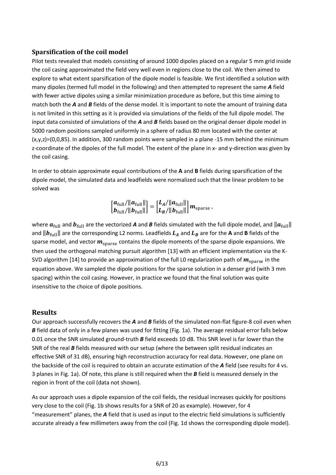#### **Sparsification of the coil model**

Pilot tests revealed that models consisting of around 1000 dipoles placed on a regular 5 mm grid inside the coil casing approximated the field very well even in regions close to the coil. We then aimed to explore to what extent sparsification of the dipole model is feasible. We first identified a solution with many dipoles (termed full model in the following) and then attempted to represent the same *A* field with fewer active dipoles using a similar minimization procedure as before, but this time aiming to match both the *A* and *B* fields of the dense model. It is important to note the amount of training data is not limited in this setting as it is provided via simulations of the fields of the full dipole model. The input data consisted of simulations of the *A* and *B* fields based on the original denser dipole model in 5000 random positions sampled uniformly in a sphere of radius 80 mm located with the center at (x,y,z)=(0,0,85). In addition, 300 random points were sampled in a plane -15 mm behind the minimum z-coordinate of the dipoles of the full model. The extent of the plane in x- and y-direction was given by the coil casing.

In order to obtain approximate equal contributions of the **A** and **B** fields during sparsification of the dipole model, the simulated data and leadfields were normalized such that the linear problem to be solved was

$$
\left[\begin{matrix} a_{\rm full}/\|a_{\rm full}\| \\ b_{\rm full}/\|b_{\rm full}\| \end{matrix}\right] = \left[\begin{matrix} L_A/\|a_{\rm full}\| \\ L_B/\|b_{\rm full}\| \end{matrix}\right] m_{\rm sparse}\,,
$$

where  $a_{\text{full}}$  and  $b_{\text{full}}$  are the vectorized **A** and **B** fields simulated with the full dipole model, and  $\|a_{\text{full}}\|$ and  $||b_{\text{full}}||$  are the corresponding L2 norms. Leadfields  $L_A$  and  $L_B$  are for the A and B fields of the sparse model, and vector  $m_{\text{sparse}}$  contains the dipole moments of the sparse dipole expansions. We then used the orthogonal matching pursuit algorithm [13] with an efficient implementation via the K-SVD algorithm [14] to provide an approximation of the full L0 regularization path of  $m_{\text{sparse}}$  in the equation above. We sampled the dipole positions for the sparse solution in a denser grid (with 3 mm spacing) within the coil casing. However, in practice we found that the final solution was quite insensitive to the choice of dipole positions.

#### **Results**

Our approach successfully recovers the *A* and *B* fields of the simulated non-flat figure-8 coil even when *B* field data of only in a few planes was used for fitting (Fig. 1a). The average residual error falls below 0.01 once the SNR simulated ground-truth *B* field exceeds 10 dB. This SNR level is far lower than the SNR of the real **B** fields measured with our setup (where the between split residual indicates an effective SNR of 31 dB), ensuring high reconstruction accuracy for real data. However, one plane on the backside of the coil is required to obtain an accurate estimation of the *A* field (see results for 4 vs. 3 planes in Fig. 1a). Of note, this plane is still required when the *B* field is measured densely in the region in front of the coil (data not shown).

As our approach uses a dipole expansion of the coil fields, the residual increases quickly for positions very close to the coil (Fig. 1b shows results for a SNR of 20 as example). However, for 4 "measurement" planes, the *A* field that is used as input to the electric field simulations is sufficiently accurate already a few millimeters away from the coil (Fig. 1d shows the corresponding dipole model).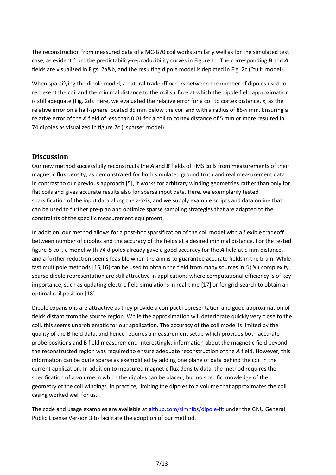The reconstruction from measured data of a MC-B70 coil works similarly well as for the simulated test case, as evident from the predictability-reproducibility curves in Figure 1c. The corresponding *B* and *A* fields are visualized in Figs. 2a&b, and the resulting dipole model is depicted in Fig. 2c ("full" model).

When sparsifying the dipole model, a natural tradeoff occurs between the number of dipoles used to represent the coil and the minimal distance to the coil surface at which the dipole field approximation is still adequate (Fig. 2d). Here, we evaluated the relative error for a coil to cortex distance, *x*, as the relative error on a half-sphere located 85 mm below the coil and with a radius of 85-*x* mm. Ensuring a relative error of the *A* field of less than 0.01 for a coil to cortex distance of 5 mm or more resulted in 74 dipoles as visualized in figure 2c ("sparse" model).

## **Discussion**

Our new method successfully reconstructs the *A* and *B* fields of TMS coils from measurements of their magnetic flux density, as demonstrated for both simulated ground truth and real measurement data. In contrast to our previous approach [5], it works for arbitrary winding geometries rather than only for flat coils and gives accurate results also for sparse input data. Here, we exemplarily tested sparsification of the input data along the z-axis, and we supply example scripts and data online that can be used to further pre-plan and optimize sparse sampling strategies that are adapted to the constraints of the specific measurement equipment.

In addition, our method allows for a post-hoc sparsification of the coil model with a flexible tradeoff between number of dipoles and the accuracy of the fields at a desired minimal distance. For the tested figure-8 coil, a model with 74 dipoles already gave a good accuracy for the *A* field at 5 mm distance, and a further reduction seems feasible when the aim is to guarantee accurate fields in the brain. While fast multipole methods [15,16] can be used to obtain the field from many sources in  $O(N)$  complexity, sparse dipole representation are still attractive in applications where computational efficiency is of key importance, such as updating electric field simulations in real-time [17] or for grid-search to obtain an optimal coil position [18].

Dipole expansions are attractive as they provide a compact representation and good approximation of fields distant from the source region. While the approximation will deteriorate quickly very close to the coil, this seems unproblematic for our application. The accuracy of the coil model is limited by the quality of the B field data, and hence requires a measurement setup which provides both accurate probe positions and B field measurement. Interestingly, information about the magnetic field beyond the reconstructed region was required to ensure adequate reconstruction of the *A* field. However, this information can be quite sparse as exemplified by adding one plane of data behind the coil in the current application. In addition to measured magnetic flux density data, the method requires the specification of a volume in which the dipoles can be placed, but no specific knowledge of the geometry of the coil windings. In practice, limiting the dipoles to a volume that approximates the coil casing worked well for us.

The code and usage examples are available at [github.com/simnibs/dipole-fit](https://github.com/simnibs/dipole-fit/) under the GNU General Public License Version 3 to facilitate the adoption of our method.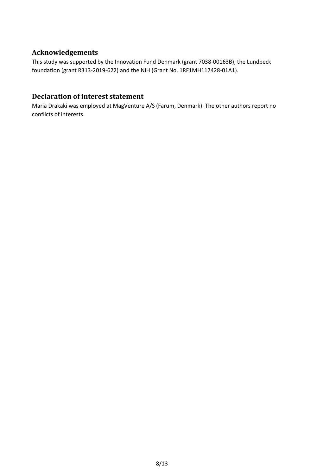# **Acknowledgements**

This study was supported by the Innovation Fund Denmark (grant 7038-00163B), the Lundbeck foundation (grant R313-2019-622) and the NIH (Grant No. 1RF1MH117428-01A1).

# **Declaration of interest statement**

Maria Drakaki was employed at MagVenture A/S (Farum, Denmark). The other authors report no conflicts of interests.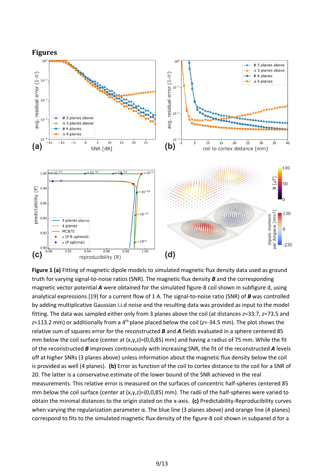

**Figure 1 (a)** Fitting of magnetic dipole models to simulated magnetic flux density data used as ground truth for varying signal-to-noise ratios (SNR). The magnetic flux density *B* and the corresponding magnetic vector potential *A* were obtained for the simulated figure-8 coil shown in subfigure d, using analytical expressions [19] for a current flow of 1 A. The signal-to-noise ratio (SNR) of *B* was controlled by adding multiplicative Gaussian i.i.d noise and the resulting data was provided as input to the model fitting. The data was sampled either only from 3 planes above the coil (at distances *z*=33.7, *z*=73.5 and *z*=113.2 mm) or additionally from a 4<sup>th</sup> plane placed below the coil (*z*=-34.5 mm). The plot shows the relative sum of squares error for the reconstructed *B* and *A* fields evaluated in a sphere centered 85 mm below the coil surface (center at  $(x,y,z)=(0,0,85)$  mm) and having a radius of 75 mm. While the fit of the reconstructed *B* improves continuously with increasing SNR, the fit of the reconstructed *A* levels off at higher SNRs (3 planes above) unless information about the magnetic flux density below the coil is provided as well (4 planes). **(b)** Error as function of the coil to cortex distance to the coil for a SNR of 20. The latter is a conservative estimate of the lower bound of the SNR achieved in the real measurements. This relative error is measured on the surfaces of concentric half-spheres centered 85 mm below the coil surface (center at  $(x,y,z)=(0,0,85)$  mm). The radii of the half-spheres were varied to obtain the minimal distances to the origin stated on the x-axis. **(c)** Predictability-Reproducibility curves when varying the regularization parameter α. The blue line (3 planes above) and orange line (4 planes) correspond to fits to the simulated magnetic flux density of the figure-8 coil shown in subpanel d for a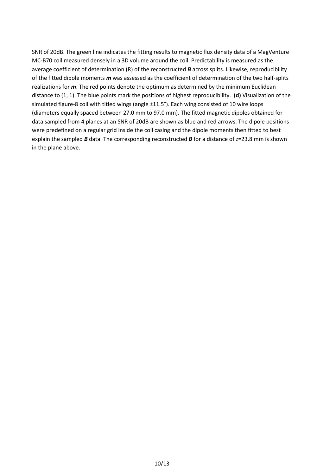SNR of 20dB. The green line indicates the fitting results to magnetic flux density data of a MagVenture MC-B70 coil measured densely in a 3D volume around the coil. Predictability is measured as the average coefficient of determination (R) of the reconstructed *B* across splits. Likewise, reproducibility of the fitted dipole moments *m* was assessed as the coefficient of determination of the two half-splits realizations for *m*. The red points denote the optimum as determined by the minimum Euclidean distance to (1, 1). The blue points mark the positions of highest reproducibility. **(d)** Visualization of the simulated figure-8 coil with titled wings (angle ±11.5°). Each wing consisted of 10 wire loops (diameters equally spaced between 27.0 mm to 97.0 mm). The fitted magnetic dipoles obtained for data sampled from 4 planes at an SNR of 20dB are shown as blue and red arrows. The dipole positions were predefined on a regular grid inside the coil casing and the dipole moments then fitted to best explain the sampled *B* data. The corresponding reconstructed *B* for a distance of *z*=23.8 mm is shown in the plane above.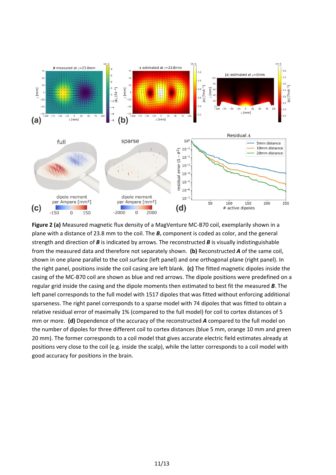

**Figure 2 (a)** Measured magnetic flux density of a MagVenture MC-B70 coil, exemplarily shown in a plane with a distance of 23.8 mm to the coil. The  $B<sub>z</sub>$  component is coded as color, and the general strength and direction of *B* is indicated by arrows. The reconstructed *B* is visually indistinguishable from the measured data and therefore not separately shown. **(b)** Reconstructed *A* of the same coil, shown in one plane parallel to the coil surface (left panel) and one orthogonal plane (right panel). In the right panel, positions inside the coil casing are left blank. **(c)** The fitted magnetic dipoles inside the casing of the MC-B70 coil are shown as blue and red arrows. The dipole positions were predefined on a regular grid inside the casing and the dipole moments then estimated to best fit the measured *B*. The left panel corresponds to the full model with 1517 dipoles that was fitted without enforcing additional sparseness. The right panel corresponds to a sparse model with 74 dipoles that was fitted to obtain a relative residual error of maximally 1% (compared to the full model) for coil to cortex distances of 5 mm or more. **(d)** Dependence of the accuracy of the reconstructed *A* compared to the full model on the number of dipoles for three different coil to cortex distances (blue 5 mm, orange 10 mm and green 20 mm). The former corresponds to a coil model that gives accurate electric field estimates already at positions very close to the coil (e.g. inside the scalp), while the latter corresponds to a coil model with good accuracy for positions in the brain.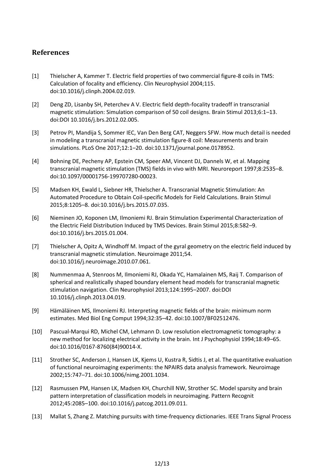# **References**

- [1] Thielscher A, Kammer T. Electric field properties of two commercial figure-8 coils in TMS: Calculation of focality and efficiency. Clin Neurophysiol 2004;115. doi:10.1016/j.clinph.2004.02.019.
- [2] Deng ZD, Lisanby SH, Peterchev A V. Electric field depth-focality tradeoff in transcranial magnetic stimulation: Simulation comparison of 50 coil designs. Brain Stimul 2013;6:1–13. doi:DOI 10.1016/j.brs.2012.02.005.
- [3] Petrov PI, Mandija S, Sommer IEC, Van Den Berg CAT, Neggers SFW. How much detail is needed in modeling a transcranial magnetic stimulation figure-8 coil: Measurements and brain simulations. PLoS One 2017;12:1–20. doi:10.1371/journal.pone.0178952.
- [4] Bohning DE, Pecheny AP, Epstein CM, Speer AM, Vincent DJ, Dannels W, et al. Mapping transcranial magnetic stimulation (TMS) fields in vivo with MRI. Neuroreport 1997;8:2535–8. doi:10.1097/00001756-199707280-00023.
- [5] Madsen KH, Ewald L, Siebner HR, Thielscher A. Transcranial Magnetic Stimulation: An Automated Procedure to Obtain Coil-specific Models for Field Calculations. Brain Stimul 2015;8:1205–8. doi:10.1016/j.brs.2015.07.035.
- [6] Nieminen JO, Koponen LM, Ilmoniemi RJ. Brain Stimulation Experimental Characterization of the Electric Field Distribution Induced by TMS Devices. Brain Stimul 2015;8:582–9. doi:10.1016/j.brs.2015.01.004.
- [7] Thielscher A, Opitz A, Windhoff M. Impact of the gyral geometry on the electric field induced by transcranial magnetic stimulation. Neuroimage 2011;54. doi:10.1016/j.neuroimage.2010.07.061.
- [8] Nummenmaa A, Stenroos M, Ilmoniemi RJ, Okada YC, Hamalainen MS, Raij T. Comparison of spherical and realistically shaped boundary element head models for transcranial magnetic stimulation navigation. Clin Neurophysiol 2013;124:1995–2007. doi:DOI 10.1016/j.clinph.2013.04.019.
- [9] Hämäläinen MS, Ilmoniemi RJ. Interpreting magnetic fields of the brain: minimum norm estimates. Med Biol Eng Comput 1994;32:35–42. doi:10.1007/BF02512476.
- [10] Pascual-Marqui RD, Michel CM, Lehmann D. Low resolution electromagnetic tomography: a new method for localizing electrical activity in the brain. Int J Psychophysiol 1994;18:49–65. doi:10.1016/0167-8760(84)90014-X.
- [11] Strother SC, Anderson J, Hansen LK, Kjems U, Kustra R, Sidtis J, et al. The quantitative evaluation of functional neuroimaging experiments: the NPAIRS data analysis framework. Neuroimage 2002;15:747–71. doi:10.1006/nimg.2001.1034.
- [12] Rasmussen PM, Hansen LK, Madsen KH, Churchill NW, Strother SC. Model sparsity and brain pattern interpretation of classification models in neuroimaging. Pattern Recognit 2012;45:2085–100. doi:10.1016/j.patcog.2011.09.011.
- [13] Mallat S, Zhang Z. Matching pursuits with time-frequency dictionaries. IEEE Trans Signal Process